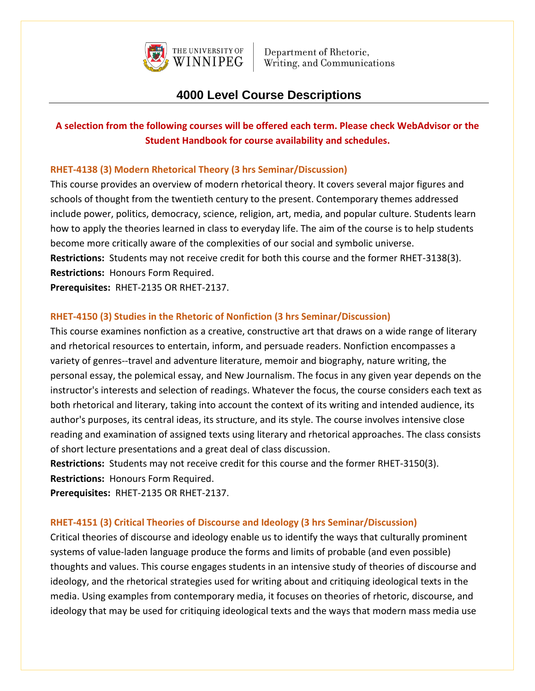

Department of Rhetoric, Writing, and Communications

# **4000 Level Course Descriptions**

### **A selection from the following courses will be offered each term. Please check WebAdvisor or the Student Handbook for course availability and schedules.**

#### **RHET-4138 (3) Modern Rhetorical Theory (3 hrs Seminar/Discussion)**

This course provides an overview of modern rhetorical theory. It covers several major figures and schools of thought from the twentieth century to the present. Contemporary themes addressed include power, politics, democracy, science, religion, art, media, and popular culture. Students learn how to apply the theories learned in class to everyday life. The aim of the course is to help students become more critically aware of the complexities of our social and symbolic universe. **Restrictions:** Students may not receive credit for both this course and the former RHET-3138(3). **Restrictions:** Honours Form Required.

**Prerequisites:** RHET-2135 OR RHET-2137.

#### **RHET-4150 (3) Studies in the Rhetoric of Nonfiction (3 hrs Seminar/Discussion)**

This course examines nonfiction as a creative, constructive art that draws on a wide range of literary and rhetorical resources to entertain, inform, and persuade readers. Nonfiction encompasses a variety of genres--travel and adventure literature, memoir and biography, nature writing, the personal essay, the polemical essay, and New Journalism. The focus in any given year depends on the instructor's interests and selection of readings. Whatever the focus, the course considers each text as both rhetorical and literary, taking into account the context of its writing and intended audience, its author's purposes, its central ideas, its structure, and its style. The course involves intensive close reading and examination of assigned texts using literary and rhetorical approaches. The class consists of short lecture presentations and a great deal of class discussion.

**Restrictions:** Students may not receive credit for this course and the former RHET-3150(3). **Restrictions:** Honours Form Required.

**Prerequisites:** RHET-2135 OR RHET-2137.

#### **RHET-4151 (3) Critical Theories of Discourse and Ideology (3 hrs Seminar/Discussion)**

Critical theories of discourse and ideology enable us to identify the ways that culturally prominent systems of value-laden language produce the forms and limits of probable (and even possible) thoughts and values. This course engages students in an intensive study of theories of discourse and ideology, and the rhetorical strategies used for writing about and critiquing ideological texts in the media. Using examples from contemporary media, it focuses on theories of rhetoric, discourse, and ideology that may be used for critiquing ideological texts and the ways that modern mass media use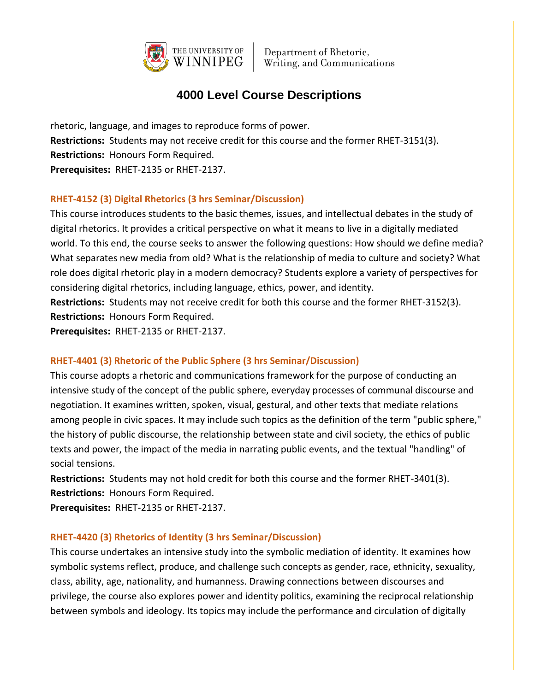

Department of Rhetoric, Writing, and Communications

# **4000 Level Course Descriptions**

rhetoric, language, and images to reproduce forms of power. **Restrictions:** Students may not receive credit for this course and the former RHET-3151(3). **Restrictions:** Honours Form Required. **Prerequisites:** RHET-2135 or RHET-2137.

#### **RHET-4152 (3) Digital Rhetorics (3 hrs Seminar/Discussion)**

This course introduces students to the basic themes, issues, and intellectual debates in the study of digital rhetorics. It provides a critical perspective on what it means to live in a digitally mediated world. To this end, the course seeks to answer the following questions: How should we define media? What separates new media from old? What is the relationship of media to culture and society? What role does digital rhetoric play in a modern democracy? Students explore a variety of perspectives for considering digital rhetorics, including language, ethics, power, and identity.

**Restrictions:** Students may not receive credit for both this course and the former RHET-3152(3). **Restrictions:** Honours Form Required.

**Prerequisites:** RHET-2135 or RHET-2137.

#### **RHET-4401 (3) Rhetoric of the Public Sphere (3 hrs Seminar/Discussion)**

This course adopts a rhetoric and communications framework for the purpose of conducting an intensive study of the concept of the public sphere, everyday processes of communal discourse and negotiation. It examines written, spoken, visual, gestural, and other texts that mediate relations among people in civic spaces. It may include such topics as the definition of the term "public sphere," the history of public discourse, the relationship between state and civil society, the ethics of public texts and power, the impact of the media in narrating public events, and the textual "handling" of social tensions.

**Restrictions:** Students may not hold credit for both this course and the former RHET-3401(3). **Restrictions:** Honours Form Required.

**Prerequisites:** RHET-2135 or RHET-2137.

#### **RHET-4420 (3) Rhetorics of Identity (3 hrs Seminar/Discussion)**

This course undertakes an intensive study into the symbolic mediation of identity. It examines how symbolic systems reflect, produce, and challenge such concepts as gender, race, ethnicity, sexuality, class, ability, age, nationality, and humanness. Drawing connections between discourses and privilege, the course also explores power and identity politics, examining the reciprocal relationship between symbols and ideology. Its topics may include the performance and circulation of digitally